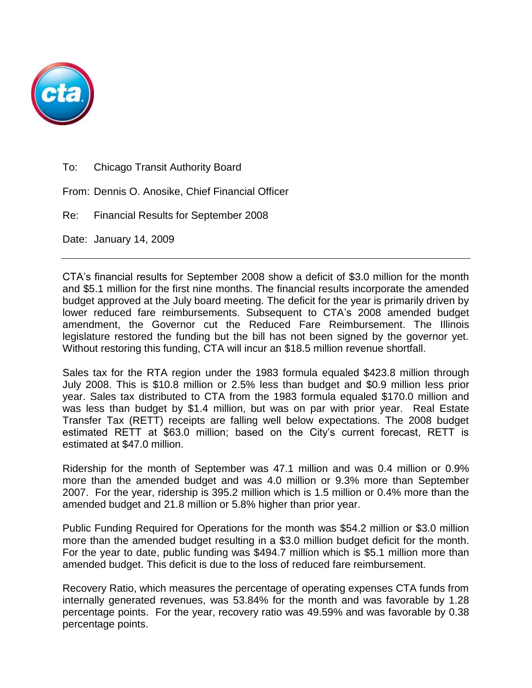

To: Chicago Transit Authority Board

From: Dennis O. Anosike, Chief Financial Officer

Re: Financial Results for September 2008

Date: January 14, 2009

CTA's financial results for September 2008 show a deficit of \$3.0 million for the month and \$5.1 million for the first nine months. The financial results incorporate the amended budget approved at the July board meeting. The deficit for the year is primarily driven by lower reduced fare reimbursements. Subsequent to CTA's 2008 amended budget amendment, the Governor cut the Reduced Fare Reimbursement. The Illinois legislature restored the funding but the bill has not been signed by the governor yet. Without restoring this funding, CTA will incur an \$18.5 million revenue shortfall.

Sales tax for the RTA region under the 1983 formula equaled \$423.8 million through July 2008. This is \$10.8 million or 2.5% less than budget and \$0.9 million less prior year. Sales tax distributed to CTA from the 1983 formula equaled \$170.0 million and was less than budget by \$1.4 million, but was on par with prior year. Real Estate Transfer Tax (RETT) receipts are falling well below expectations. The 2008 budget estimated RETT at \$63.0 million; based on the City's current forecast, RETT is estimated at \$47.0 million.

Ridership for the month of September was 47.1 million and was 0.4 million or 0.9% more than the amended budget and was 4.0 million or 9.3% more than September 2007. For the year, ridership is 395.2 million which is 1.5 million or 0.4% more than the amended budget and 21.8 million or 5.8% higher than prior year.

Public Funding Required for Operations for the month was \$54.2 million or \$3.0 million more than the amended budget resulting in a \$3.0 million budget deficit for the month. For the year to date, public funding was \$494.7 million which is \$5.1 million more than amended budget. This deficit is due to the loss of reduced fare reimbursement.

Recovery Ratio, which measures the percentage of operating expenses CTA funds from internally generated revenues, was 53.84% for the month and was favorable by 1.28 percentage points. For the year, recovery ratio was 49.59% and was favorable by 0.38 percentage points.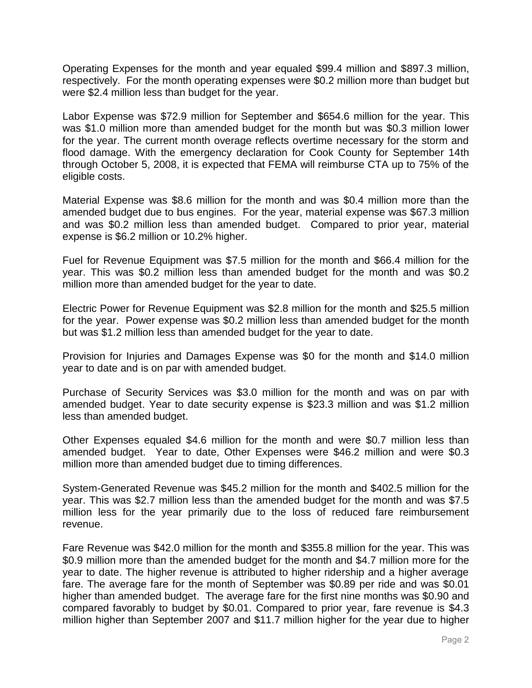Operating Expenses for the month and year equaled \$99.4 million and \$897.3 million, respectively. For the month operating expenses were \$0.2 million more than budget but were \$2.4 million less than budget for the year.

Labor Expense was \$72.9 million for September and \$654.6 million for the year. This was \$1.0 million more than amended budget for the month but was \$0.3 million lower for the year. The current month overage reflects overtime necessary for the storm and flood damage. With the emergency declaration for Cook County for September 14th through October 5, 2008, it is expected that FEMA will reimburse CTA up to 75% of the eligible costs.

Material Expense was \$8.6 million for the month and was \$0.4 million more than the amended budget due to bus engines. For the year, material expense was \$67.3 million and was \$0.2 million less than amended budget. Compared to prior year, material expense is \$6.2 million or 10.2% higher.

Fuel for Revenue Equipment was \$7.5 million for the month and \$66.4 million for the year. This was \$0.2 million less than amended budget for the month and was \$0.2 million more than amended budget for the year to date.

Electric Power for Revenue Equipment was \$2.8 million for the month and \$25.5 million for the year. Power expense was \$0.2 million less than amended budget for the month but was \$1.2 million less than amended budget for the year to date.

Provision for Injuries and Damages Expense was \$0 for the month and \$14.0 million year to date and is on par with amended budget.

Purchase of Security Services was \$3.0 million for the month and was on par with amended budget. Year to date security expense is \$23.3 million and was \$1.2 million less than amended budget.

Other Expenses equaled \$4.6 million for the month and were \$0.7 million less than amended budget. Year to date, Other Expenses were \$46.2 million and were \$0.3 million more than amended budget due to timing differences.

System-Generated Revenue was \$45.2 million for the month and \$402.5 million for the year. This was \$2.7 million less than the amended budget for the month and was \$7.5 million less for the year primarily due to the loss of reduced fare reimbursement revenue.

Fare Revenue was \$42.0 million for the month and \$355.8 million for the year. This was \$0.9 million more than the amended budget for the month and \$4.7 million more for the year to date. The higher revenue is attributed to higher ridership and a higher average fare. The average fare for the month of September was \$0.89 per ride and was \$0.01 higher than amended budget. The average fare for the first nine months was \$0.90 and compared favorably to budget by \$0.01. Compared to prior year, fare revenue is \$4.3 million higher than September 2007 and \$11.7 million higher for the year due to higher